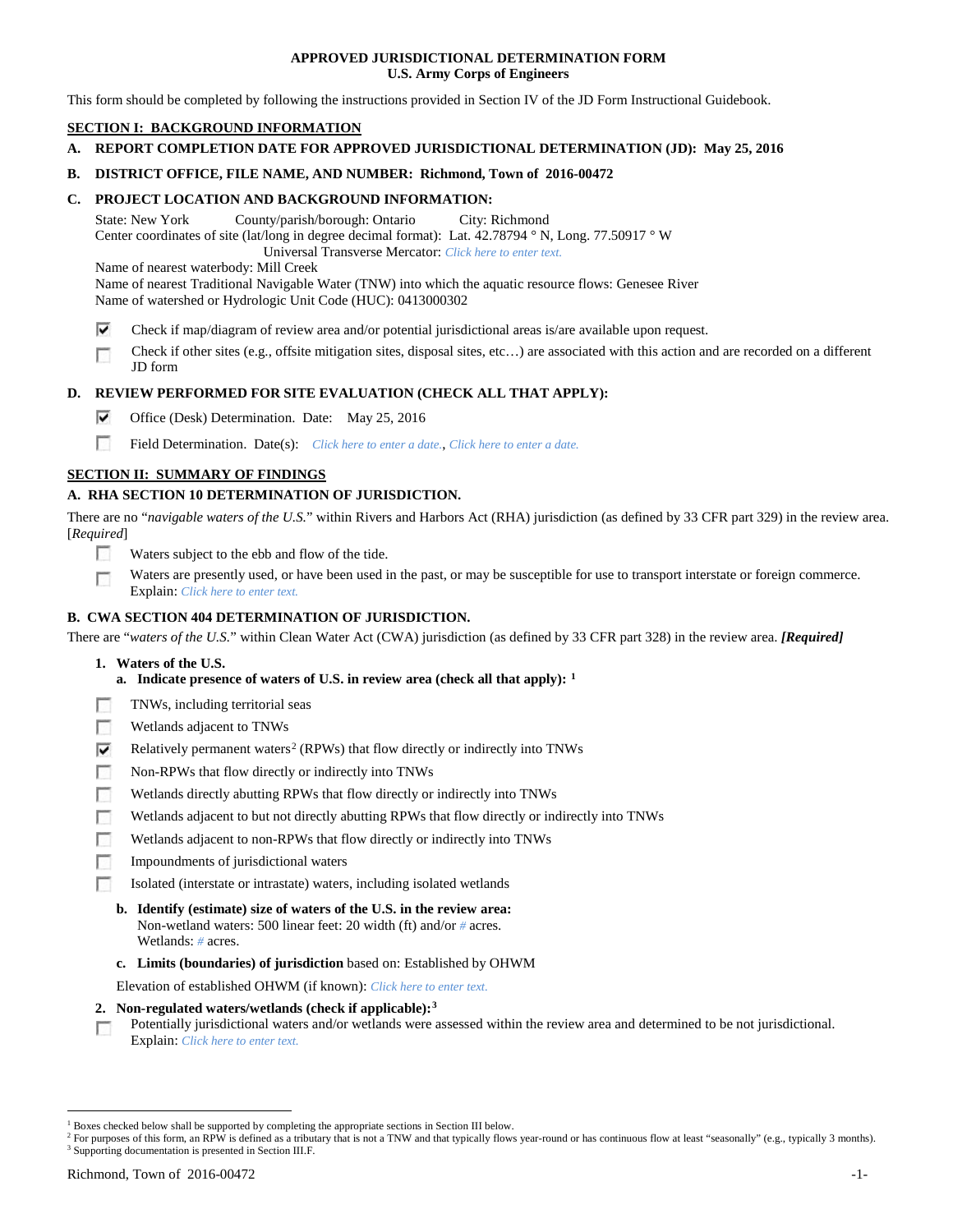## **APPROVED JURISDICTIONAL DETERMINATION FORM U.S. Army Corps of Engineers**

This form should be completed by following the instructions provided in Section IV of the JD Form Instructional Guidebook.

# **SECTION I: BACKGROUND INFORMATION**

**A. REPORT COMPLETION DATE FOR APPROVED JURISDICTIONAL DETERMINATION (JD): May 25, 2016**

## **B. DISTRICT OFFICE, FILE NAME, AND NUMBER: Richmond, Town of 2016-00472**

## **C. PROJECT LOCATION AND BACKGROUND INFORMATION:**

State: New York County/parish/borough: Ontario City: Richmond Center coordinates of site (lat/long in degree decimal format): Lat. 42.78794 ° N, Long. 77.50917 ° W Universal Transverse Mercator: *Click here to enter text.*

Name of nearest waterbody: Mill Creek

Name of nearest Traditional Navigable Water (TNW) into which the aquatic resource flows: Genesee River Name of watershed or Hydrologic Unit Code (HUC): 0413000302

- ⊽ Check if map/diagram of review area and/or potential jurisdictional areas is/are available upon request.
- Check if other sites (e.g., offsite mitigation sites, disposal sites, etc…) are associated with this action and are recorded on a different г JD form

## **D. REVIEW PERFORMED FOR SITE EVALUATION (CHECK ALL THAT APPLY):**

- ⊽ Office (Desk) Determination. Date: May 25, 2016
- m Field Determination. Date(s): *Click here to enter a date.*, *Click here to enter a date.*

## **SECTION II: SUMMARY OF FINDINGS**

# **A. RHA SECTION 10 DETERMINATION OF JURISDICTION.**

There are no "*navigable waters of the U.S.*" within Rivers and Harbors Act (RHA) jurisdiction (as defined by 33 CFR part 329) in the review area. [*Required*]

- n Waters subject to the ebb and flow of the tide.
- Waters are presently used, or have been used in the past, or may be susceptible for use to transport interstate or foreign commerce. п Explain: *Click here to enter text.*

## **B. CWA SECTION 404 DETERMINATION OF JURISDICTION.**

There are "*waters of the U.S.*" within Clean Water Act (CWA) jurisdiction (as defined by 33 CFR part 328) in the review area. *[Required]*

- **1. Waters of the U.S.**
	- **a. Indicate presence of waters of U.S. in review area (check all that apply): [1](#page-0-0)**
- Е TNWs, including territorial seas
- п Wetlands adjacent to TNWs
- Relatively permanent waters<sup>[2](#page-0-1)</sup> (RPWs) that flow directly or indirectly into TNWs ⊽
- г Non-RPWs that flow directly or indirectly into TNWs
- п Wetlands directly abutting RPWs that flow directly or indirectly into TNWs
- Wetlands adjacent to but not directly abutting RPWs that flow directly or indirectly into TNWs г
- Wetlands adjacent to non-RPWs that flow directly or indirectly into TNWs г
- п Impoundments of jurisdictional waters
- Isolated (interstate or intrastate) waters, including isolated wetlands n.
	- **b. Identify (estimate) size of waters of the U.S. in the review area:** Non-wetland waters: 500 linear feet: 20 width (ft) and/or *#* acres. Wetlands: *#* acres.
	- **c. Limits (boundaries) of jurisdiction** based on: Established by OHWM

Elevation of established OHWM (if known): *Click here to enter text.*

- **2. Non-regulated waters/wetlands (check if applicable):[3](#page-0-2)**
- Potentially jurisdictional waters and/or wetlands were assessed within the review area and determined to be not jurisdictional. п Explain: *Click here to enter text.*

<span id="page-0-1"></span><span id="page-0-0"></span> <sup>1</sup> Boxes checked below shall be supported by completing the appropriate sections in Section III below.

<sup>&</sup>lt;sup>2</sup> For purposes of this form, an RPW is defined as a tributary that is not a TNW and that typically flows year-round or has continuous flow at least "seasonally" (e.g., typically 3 months).

<span id="page-0-2"></span><sup>3</sup> Supporting documentation is presented in Section III.F.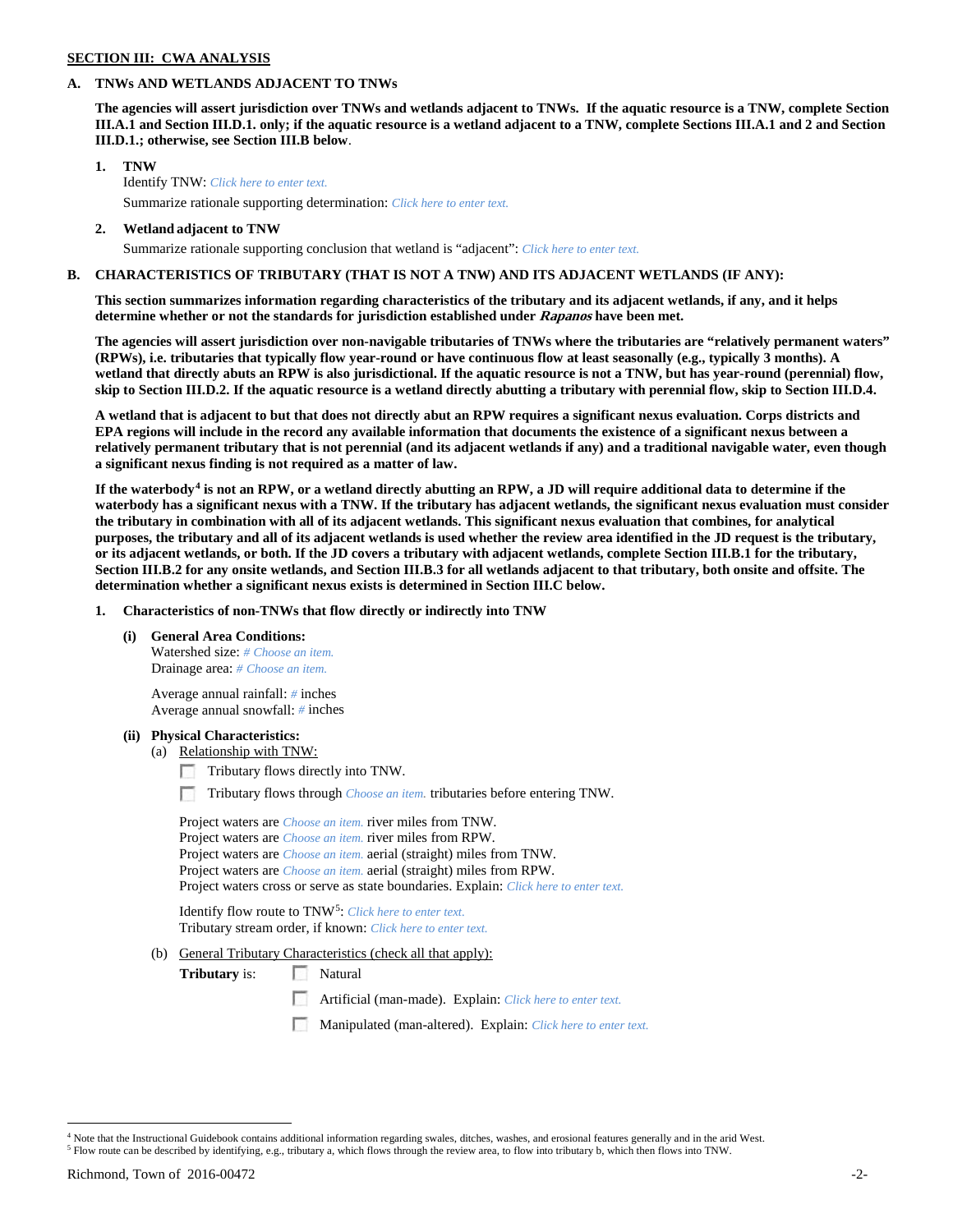# **SECTION III: CWA ANALYSIS**

### **A. TNWs AND WETLANDS ADJACENT TO TNWs**

**The agencies will assert jurisdiction over TNWs and wetlands adjacent to TNWs. If the aquatic resource is a TNW, complete Section III.A.1 and Section III.D.1. only; if the aquatic resource is a wetland adjacent to a TNW, complete Sections III.A.1 and 2 and Section III.D.1.; otherwise, see Section III.B below**.

- **1. TNW**  Identify TNW: *Click here to enter text.*
	- Summarize rationale supporting determination: *Click here to enter text.*
- **2. Wetland adjacent to TNW** Summarize rationale supporting conclusion that wetland is "adjacent": *Click here to enter text.*

## **B. CHARACTERISTICS OF TRIBUTARY (THAT IS NOT A TNW) AND ITS ADJACENT WETLANDS (IF ANY):**

**This section summarizes information regarding characteristics of the tributary and its adjacent wetlands, if any, and it helps determine whether or not the standards for jurisdiction established under Rapanos have been met.** 

**The agencies will assert jurisdiction over non-navigable tributaries of TNWs where the tributaries are "relatively permanent waters" (RPWs), i.e. tributaries that typically flow year-round or have continuous flow at least seasonally (e.g., typically 3 months). A wetland that directly abuts an RPW is also jurisdictional. If the aquatic resource is not a TNW, but has year-round (perennial) flow, skip to Section III.D.2. If the aquatic resource is a wetland directly abutting a tributary with perennial flow, skip to Section III.D.4.**

**A wetland that is adjacent to but that does not directly abut an RPW requires a significant nexus evaluation. Corps districts and EPA regions will include in the record any available information that documents the existence of a significant nexus between a relatively permanent tributary that is not perennial (and its adjacent wetlands if any) and a traditional navigable water, even though a significant nexus finding is not required as a matter of law.**

**If the waterbody[4](#page-1-0) is not an RPW, or a wetland directly abutting an RPW, a JD will require additional data to determine if the waterbody has a significant nexus with a TNW. If the tributary has adjacent wetlands, the significant nexus evaluation must consider the tributary in combination with all of its adjacent wetlands. This significant nexus evaluation that combines, for analytical purposes, the tributary and all of its adjacent wetlands is used whether the review area identified in the JD request is the tributary, or its adjacent wetlands, or both. If the JD covers a tributary with adjacent wetlands, complete Section III.B.1 for the tributary, Section III.B.2 for any onsite wetlands, and Section III.B.3 for all wetlands adjacent to that tributary, both onsite and offsite. The determination whether a significant nexus exists is determined in Section III.C below.**

**1. Characteristics of non-TNWs that flow directly or indirectly into TNW**

**(i) General Area Conditions:**

Watershed size: *# Choose an item.* Drainage area: *# Choose an item.*

Average annual rainfall: *#* inches Average annual snowfall: *#* inches

#### **(ii) Physical Characteristics:**

- (a) Relationship with TNW:
	- Tributary flows directly into TNW.

n Tributary flows through *Choose an item.* tributaries before entering TNW.

Project waters are *Choose an item.* river miles from TNW. Project waters are *Choose an item.* river miles from RPW. Project waters are *Choose an item.* aerial (straight) miles from TNW. Project waters are *Choose an item.* aerial (straight) miles from RPW. Project waters cross or serve as state boundaries. Explain: *Click here to enter text.*

Identify flow route to TNW[5:](#page-1-1) *Click here to enter text.* Tributary stream order, if known: *Click here to enter text.*

(b) General Tributary Characteristics (check all that apply):

**Tributary** is: Natural

- Artificial (man-made). Explain: *Click here to enter text.*
- Manipulated (man-altered). Explain: *Click here to enter text.*

<span id="page-1-0"></span><sup>&</sup>lt;sup>4</sup> Note that the Instructional Guidebook contains additional information regarding swales, ditches, washes, and erosional features generally and in the arid West.

<span id="page-1-1"></span><sup>5</sup> Flow route can be described by identifying, e.g., tributary a, which flows through the review area, to flow into tributary b, which then flows into TNW.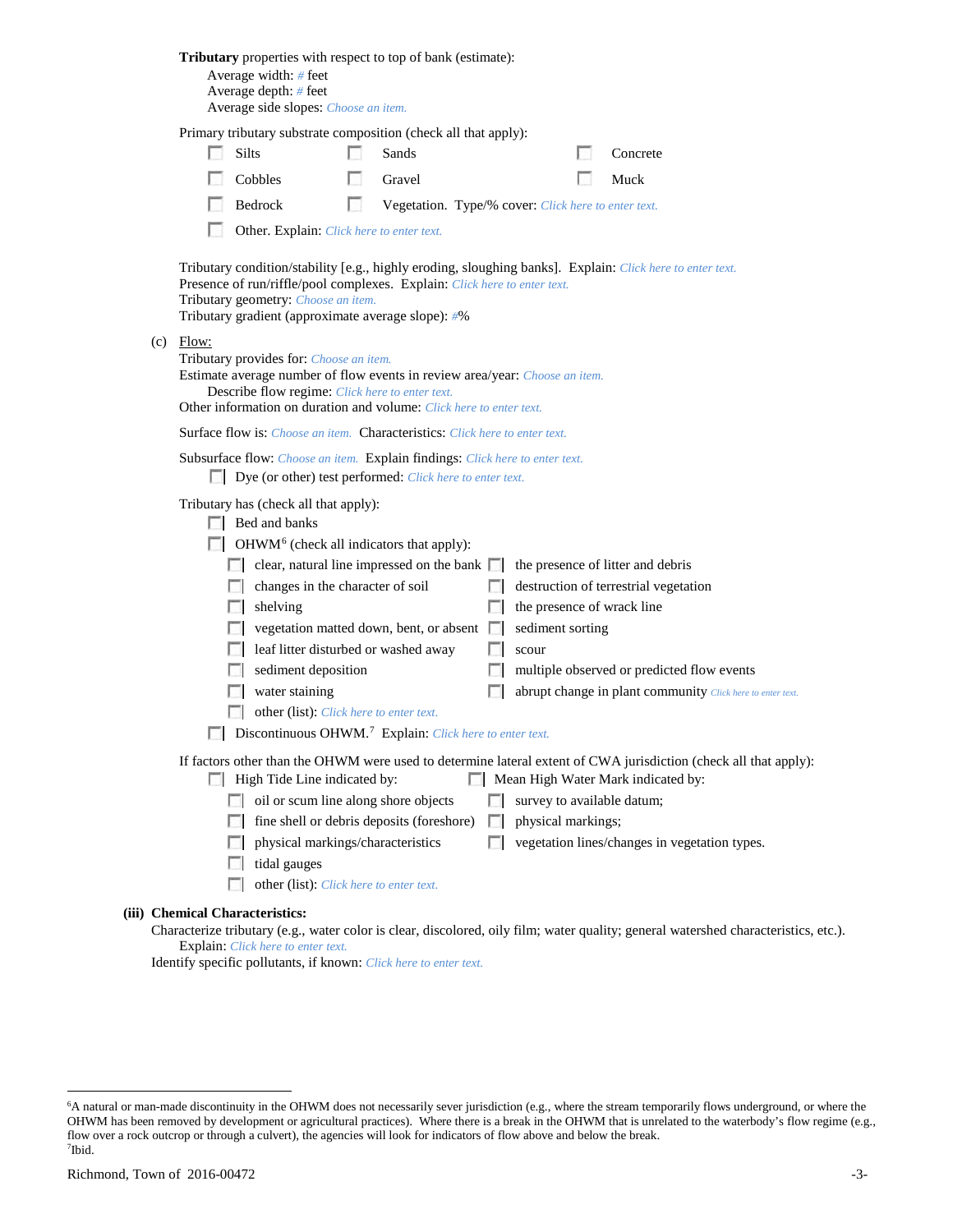|                                                                                                                                                                                        |                                                                                                                                                                                                                                                                                     | <b>Tributary</b> properties with respect to top of bank (estimate):<br>Average width: # feet<br>Average depth: # feet<br>Average side slopes: Choose an item.                                                                                    |     |                                                     |                |                                   |  |                                                            |
|----------------------------------------------------------------------------------------------------------------------------------------------------------------------------------------|-------------------------------------------------------------------------------------------------------------------------------------------------------------------------------------------------------------------------------------------------------------------------------------|--------------------------------------------------------------------------------------------------------------------------------------------------------------------------------------------------------------------------------------------------|-----|-----------------------------------------------------|----------------|-----------------------------------|--|------------------------------------------------------------|
|                                                                                                                                                                                        |                                                                                                                                                                                                                                                                                     | Primary tributary substrate composition (check all that apply):                                                                                                                                                                                  |     |                                                     |                |                                   |  |                                                            |
|                                                                                                                                                                                        |                                                                                                                                                                                                                                                                                     | Silts                                                                                                                                                                                                                                            |     | Sands                                               |                |                                   |  | Concrete                                                   |
|                                                                                                                                                                                        |                                                                                                                                                                                                                                                                                     | Cobbles                                                                                                                                                                                                                                          |     | Gravel                                              |                |                                   |  | Muck                                                       |
|                                                                                                                                                                                        |                                                                                                                                                                                                                                                                                     | Bedrock                                                                                                                                                                                                                                          | LS. | Vegetation. Type/% cover: Click here to enter text. |                |                                   |  |                                                            |
|                                                                                                                                                                                        |                                                                                                                                                                                                                                                                                     | Other. Explain: Click here to enter text.                                                                                                                                                                                                        |     |                                                     |                |                                   |  |                                                            |
|                                                                                                                                                                                        | Tributary condition/stability [e.g., highly eroding, sloughing banks]. Explain: Click here to enter text.<br>Presence of run/riffle/pool complexes. Explain: Click here to enter text.<br>Tributary geometry: Choose an item.<br>Tributary gradient (approximate average slope): #% |                                                                                                                                                                                                                                                  |     |                                                     |                |                                   |  |                                                            |
|                                                                                                                                                                                        | Flow:<br>(c)                                                                                                                                                                                                                                                                        | Tributary provides for: Choose an item.<br>Estimate average number of flow events in review area/year: Choose an item.<br>Describe flow regime: Click here to enter text.<br>Other information on duration and volume: Click here to enter text. |     |                                                     |                |                                   |  |                                                            |
|                                                                                                                                                                                        |                                                                                                                                                                                                                                                                                     | <b>Surface flow is:</b> Choose an item. <b>Characteristics:</b> Click here to enter text.                                                                                                                                                        |     |                                                     |                |                                   |  |                                                            |
|                                                                                                                                                                                        |                                                                                                                                                                                                                                                                                     | Subsurface flow: Choose an item. Explain findings: Click here to enter text.<br>Dye (or other) test performed: Click here to enter text.                                                                                                         |     |                                                     |                |                                   |  |                                                            |
|                                                                                                                                                                                        | Tributary has (check all that apply):<br>Bed and banks<br>$\Box$ OHWM <sup>6</sup> (check all indicators that apply):                                                                                                                                                               |                                                                                                                                                                                                                                                  |     |                                                     |                |                                   |  |                                                            |
|                                                                                                                                                                                        |                                                                                                                                                                                                                                                                                     | $\Box$ clear, natural line impressed on the bank $\Box$                                                                                                                                                                                          |     |                                                     |                | the presence of litter and debris |  |                                                            |
|                                                                                                                                                                                        |                                                                                                                                                                                                                                                                                     | changes in the character of soil<br><b>1000</b>                                                                                                                                                                                                  |     |                                                     | <b>ISBN</b>    |                                   |  | destruction of terrestrial vegetation                      |
|                                                                                                                                                                                        |                                                                                                                                                                                                                                                                                     | shelving<br>L.                                                                                                                                                                                                                                   |     |                                                     | L.             | the presence of wrack line        |  |                                                            |
|                                                                                                                                                                                        |                                                                                                                                                                                                                                                                                     |                                                                                                                                                                                                                                                  |     | vegetation matted down, bent, or absent             | <b>In the </b> | sediment sorting                  |  |                                                            |
|                                                                                                                                                                                        |                                                                                                                                                                                                                                                                                     | leaf litter disturbed or washed away                                                                                                                                                                                                             |     |                                                     | F 1            | scour                             |  |                                                            |
|                                                                                                                                                                                        |                                                                                                                                                                                                                                                                                     | sediment deposition                                                                                                                                                                                                                              |     |                                                     | ш              |                                   |  | multiple observed or predicted flow events                 |
|                                                                                                                                                                                        |                                                                                                                                                                                                                                                                                     | water staining                                                                                                                                                                                                                                   |     |                                                     |                |                                   |  | abrupt change in plant community Click here to enter text. |
|                                                                                                                                                                                        |                                                                                                                                                                                                                                                                                     | other (list): Click here to enter text.<br><b>Discontinuous OHWM.</b> <sup>7</sup> Explain: Click here to enter text.                                                                                                                            |     |                                                     |                |                                   |  |                                                            |
| If factors other than the OHWM were used to determine lateral extent of CWA jurisdiction (check all that apply):<br>High Tide Line indicated by:<br>Mean High Water Mark indicated by: |                                                                                                                                                                                                                                                                                     |                                                                                                                                                                                                                                                  |     |                                                     |                |                                   |  |                                                            |
|                                                                                                                                                                                        |                                                                                                                                                                                                                                                                                     | oil or scum line along shore objects<br><b>ISLE</b>                                                                                                                                                                                              |     |                                                     | L.             | survey to available datum;        |  |                                                            |
|                                                                                                                                                                                        |                                                                                                                                                                                                                                                                                     |                                                                                                                                                                                                                                                  |     | fine shell or debris deposits (foreshore)           | $\mathcal{L}$  | physical markings;                |  |                                                            |
|                                                                                                                                                                                        |                                                                                                                                                                                                                                                                                     | physical markings/characteristics                                                                                                                                                                                                                |     |                                                     | п              |                                   |  | vegetation lines/changes in vegetation types.              |
|                                                                                                                                                                                        |                                                                                                                                                                                                                                                                                     | tidal gauges                                                                                                                                                                                                                                     |     |                                                     |                |                                   |  |                                                            |
|                                                                                                                                                                                        | LЗ                                                                                                                                                                                                                                                                                  | other (list): Click here to enter text.                                                                                                                                                                                                          |     |                                                     |                |                                   |  |                                                            |
|                                                                                                                                                                                        | (iii) Chemical Characteristics:                                                                                                                                                                                                                                                     |                                                                                                                                                                                                                                                  |     |                                                     |                |                                   |  |                                                            |
|                                                                                                                                                                                        | Characterize tributary (e.g., water color is clear, discolored, oily film; water quality; general watershed characteristics, etc.).                                                                                                                                                 |                                                                                                                                                                                                                                                  |     |                                                     |                |                                   |  |                                                            |

Explain: *Click here to enter text.* Identify specific pollutants, if known: *Click here to enter text.*

<span id="page-2-1"></span><span id="page-2-0"></span> <sup>6</sup> <sup>6</sup>A natural or man-made discontinuity in the OHWM does not necessarily sever jurisdiction (e.g., where the stream temporarily flows underground, or where the OHWM has been removed by development or agricultural practices). Where there is a break in the OHWM that is unrelated to the waterbody's flow regime (e.g., flow over a rock outcrop or through a culvert), the agencies will look for indicators of flow above and below the break. 7 Ibid.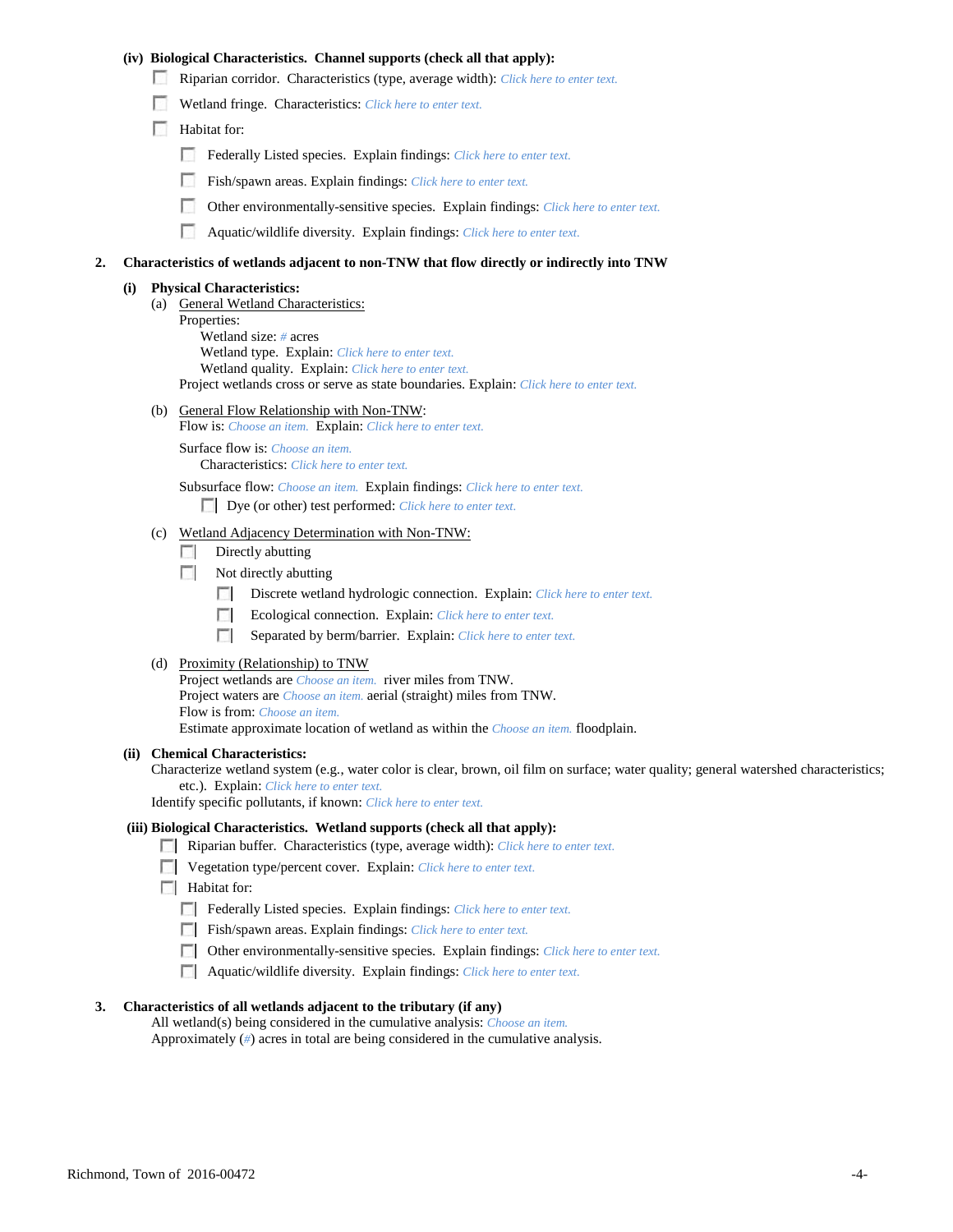## **(iv) Biological Characteristics. Channel supports (check all that apply):**

- Riparian corridor. Characteristics (type, average width): *Click here to enter text.*
- Wetland fringe. Characteristics: *Click here to enter text.*
- Habitat for:
	- Federally Listed species. Explain findings: *Click here to enter text.*
	- Fish/spawn areas. Explain findings: *Click here to enter text.*
	- Other environmentally-sensitive species. Explain findings: *Click here to enter text.*
	- n Aquatic/wildlife diversity. Explain findings: *Click here to enter text.*

#### **2. Characteristics of wetlands adjacent to non-TNW that flow directly or indirectly into TNW**

#### **(i) Physical Characteristics:**

- (a) General Wetland Characteristics:
	- Properties:

Wetland size: *#* acres Wetland type. Explain: *Click here to enter text.*

Wetland quality. Explain: *Click here to enter text.*

Project wetlands cross or serve as state boundaries. Explain: *Click here to enter text.*

(b) General Flow Relationship with Non-TNW: Flow is: *Choose an item.* Explain: *Click here to enter text.*

Surface flow is: *Choose an item.* Characteristics: *Click here to enter text.*

Subsurface flow: *Choose an item.* Explain findings: *Click here to enter text.*

Dye (or other) test performed: *Click here to enter text.*

### (c) Wetland Adjacency Determination with Non-TNW:

- $\Box$  Directly abutting
- Not directly abutting
	- 100 Discrete wetland hydrologic connection. Explain: *Click here to enter text.*
	- Ecological connection. Explain: *Click here to enter text.* **The Company**
	- $\sim$ Separated by berm/barrier. Explain: *Click here to enter text.*
- (d) Proximity (Relationship) to TNW

Project wetlands are *Choose an item.* river miles from TNW. Project waters are *Choose an item.* aerial (straight) miles from TNW. Flow is from: *Choose an item.* Estimate approximate location of wetland as within the *Choose an item.* floodplain.

#### **(ii) Chemical Characteristics:**

Characterize wetland system (e.g., water color is clear, brown, oil film on surface; water quality; general watershed characteristics; etc.). Explain: *Click here to enter text.*

Identify specific pollutants, if known: *Click here to enter text.*

### **(iii) Biological Characteristics. Wetland supports (check all that apply):**

- Riparian buffer. Characteristics (type, average width): *Click here to enter text.*
- Vegetation type/percent cover. Explain: *Click here to enter text.*
- $\Box$  Habitat for:
	- Federally Listed species. Explain findings: *Click here to enter text*.
	- Fish/spawn areas. Explain findings: *Click here to enter text*.
	- Other environmentally-sensitive species. Explain findings: *Click here to enter text.*
	- Aquatic/wildlife diversity. Explain findings: *Click here to enter text.*

#### **3. Characteristics of all wetlands adjacent to the tributary (if any)**

All wetland(s) being considered in the cumulative analysis: *Choose an item.* Approximately (*#*) acres in total are being considered in the cumulative analysis.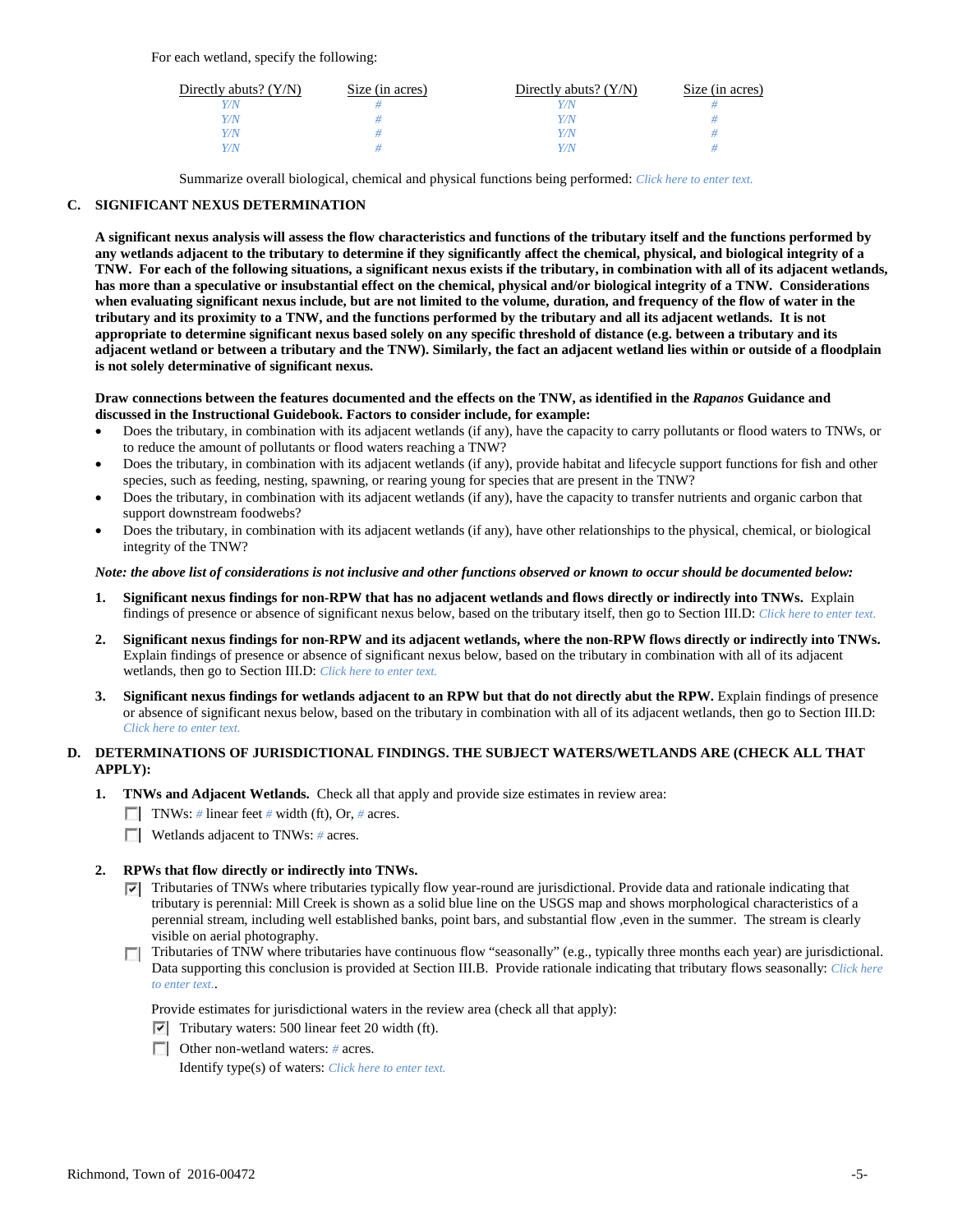For each wetland, specify the following:

| Directly abuts? $(Y/N)$ | Size (in acres) | Directly abuts? $(Y/N)$ | Size (in acres) |
|-------------------------|-----------------|-------------------------|-----------------|
| Y/N                     |                 |                         |                 |
| Y/N                     |                 | Y/N                     |                 |
| Y/N                     |                 | Y/N                     |                 |
| Y/N                     |                 | Y/N                     |                 |

Summarize overall biological, chemical and physical functions being performed: *Click here to enter text.*

## **C. SIGNIFICANT NEXUS DETERMINATION**

**A significant nexus analysis will assess the flow characteristics and functions of the tributary itself and the functions performed by any wetlands adjacent to the tributary to determine if they significantly affect the chemical, physical, and biological integrity of a TNW. For each of the following situations, a significant nexus exists if the tributary, in combination with all of its adjacent wetlands, has more than a speculative or insubstantial effect on the chemical, physical and/or biological integrity of a TNW. Considerations when evaluating significant nexus include, but are not limited to the volume, duration, and frequency of the flow of water in the tributary and its proximity to a TNW, and the functions performed by the tributary and all its adjacent wetlands. It is not appropriate to determine significant nexus based solely on any specific threshold of distance (e.g. between a tributary and its adjacent wetland or between a tributary and the TNW). Similarly, the fact an adjacent wetland lies within or outside of a floodplain is not solely determinative of significant nexus.** 

### **Draw connections between the features documented and the effects on the TNW, as identified in the** *Rapanos* **Guidance and discussed in the Instructional Guidebook. Factors to consider include, for example:**

- Does the tributary, in combination with its adjacent wetlands (if any), have the capacity to carry pollutants or flood waters to TNWs, or to reduce the amount of pollutants or flood waters reaching a TNW?
- Does the tributary, in combination with its adjacent wetlands (if any), provide habitat and lifecycle support functions for fish and other species, such as feeding, nesting, spawning, or rearing young for species that are present in the TNW?
- Does the tributary, in combination with its adjacent wetlands (if any), have the capacity to transfer nutrients and organic carbon that support downstream foodwebs?
- Does the tributary, in combination with its adjacent wetlands (if any), have other relationships to the physical, chemical, or biological integrity of the TNW?

### *Note: the above list of considerations is not inclusive and other functions observed or known to occur should be documented below:*

- **1. Significant nexus findings for non-RPW that has no adjacent wetlands and flows directly or indirectly into TNWs.** Explain findings of presence or absence of significant nexus below, based on the tributary itself, then go to Section III.D: *Click here to enter text.*
- **2. Significant nexus findings for non-RPW and its adjacent wetlands, where the non-RPW flows directly or indirectly into TNWs.**  Explain findings of presence or absence of significant nexus below, based on the tributary in combination with all of its adjacent wetlands, then go to Section III.D: *Click here to enter text.*
- **3. Significant nexus findings for wetlands adjacent to an RPW but that do not directly abut the RPW.** Explain findings of presence or absence of significant nexus below, based on the tributary in combination with all of its adjacent wetlands, then go to Section III.D: *Click here to enter text.*

# **D. DETERMINATIONS OF JURISDICTIONAL FINDINGS. THE SUBJECT WATERS/WETLANDS ARE (CHECK ALL THAT APPLY):**

- **1. TNWs and Adjacent Wetlands.** Check all that apply and provide size estimates in review area:
	- TNWs: *#* linear feet *#* width (ft), Or, *#* acres.
	- **Wetlands adjacent to TNWs: # acres.**

## **2. RPWs that flow directly or indirectly into TNWs.**

- $\nabla$  Tributaries of TNWs where tributaries typically flow year-round are jurisdictional. Provide data and rationale indicating that tributary is perennial: Mill Creek is shown as a solid blue line on the USGS map and shows morphological characteristics of a perennial stream, including well established banks, point bars, and substantial flow ,even in the summer. The stream is clearly visible on aerial photography.
- $\Box$  Tributaries of TNW where tributaries have continuous flow "seasonally" (e.g., typically three months each year) are jurisdictional. Data supporting this conclusion is provided at Section III.B. Provide rationale indicating that tributary flows seasonally: *Click here to enter text.*.

Provide estimates for jurisdictional waters in the review area (check all that apply):

- $\triangledown$  Tributary waters: 500 linear feet 20 width (ft).
- Other non-wetland waters: *#* acres. Identify type(s) of waters: *Click here to enter text.*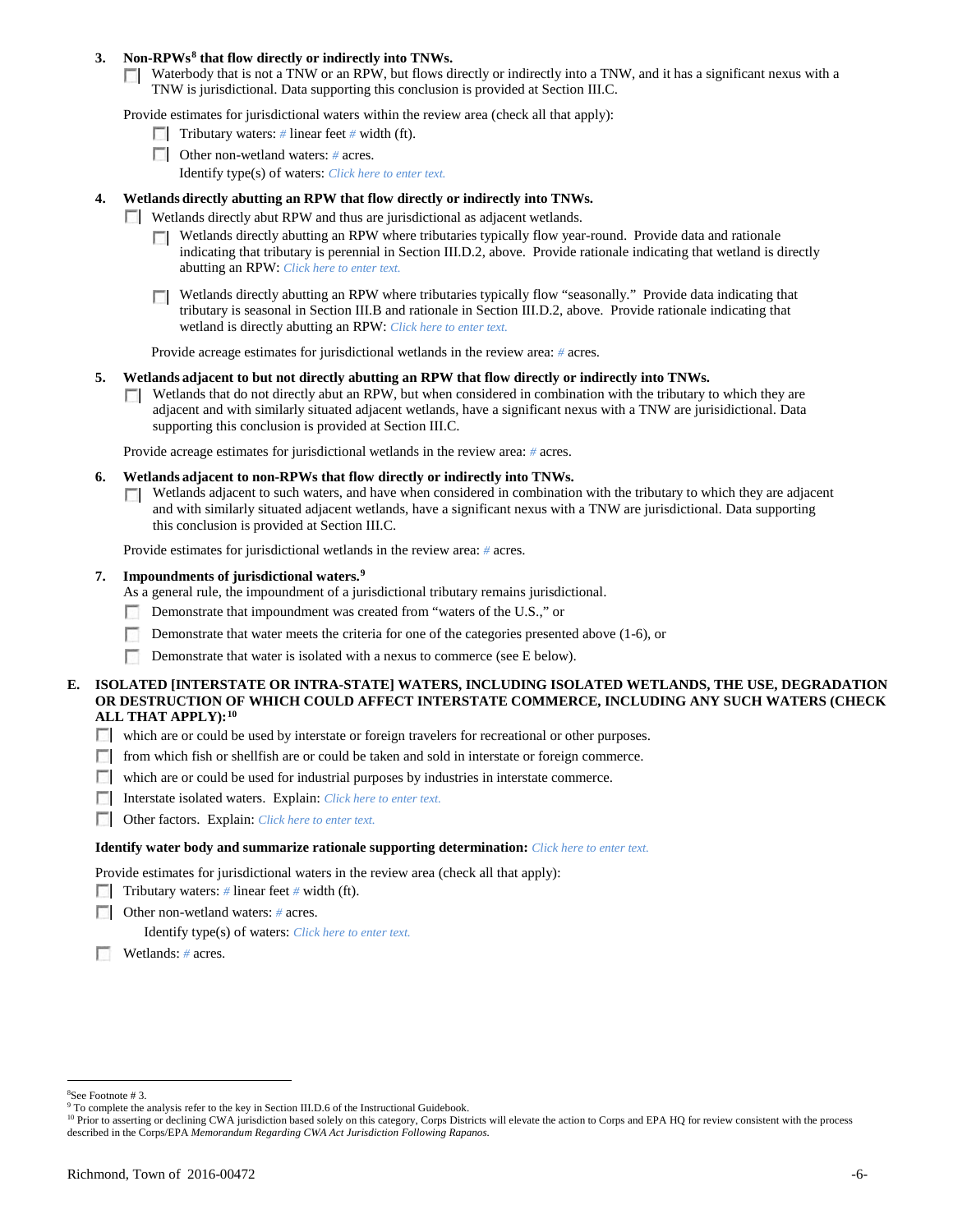## **3. Non-RPWs[8](#page-5-0) that flow directly or indirectly into TNWs.**

Waterbody that is not a TNW or an RPW, but flows directly or indirectly into a TNW, and it has a significant nexus with a TNW is jurisdictional. Data supporting this conclusion is provided at Section III.C.

Provide estimates for jurisdictional waters within the review area (check all that apply):

- **Tributary waters:** # linear feet # width (ft).
- Other non-wetland waters: *#* acres. Identify type(s) of waters: *Click here to enter text.*
- **4. Wetlands directly abutting an RPW that flow directly or indirectly into TNWs.**
	- **Wetlands directly abut RPW and thus are jurisdictional as adjacent wetlands.** 
		- $\Box$  Wetlands directly abutting an RPW where tributaries typically flow year-round. Provide data and rationale indicating that tributary is perennial in Section III.D.2, above. Provide rationale indicating that wetland is directly abutting an RPW: *Click here to enter text.*
		- Wetlands directly abutting an RPW where tributaries typically flow "seasonally." Provide data indicating that tributary is seasonal in Section III.B and rationale in Section III.D.2, above. Provide rationale indicating that wetland is directly abutting an RPW: *Click here to enter text.*

Provide acreage estimates for jurisdictional wetlands in the review area: *#* acres.

- **5. Wetlands adjacent to but not directly abutting an RPW that flow directly or indirectly into TNWs.**
	- $\Box$  Wetlands that do not directly abut an RPW, but when considered in combination with the tributary to which they are adjacent and with similarly situated adjacent wetlands, have a significant nexus with a TNW are jurisidictional. Data supporting this conclusion is provided at Section III.C.

Provide acreage estimates for jurisdictional wetlands in the review area: *#* acres.

- **6. Wetlands adjacent to non-RPWs that flow directly or indirectly into TNWs.** 
	- Wetlands adjacent to such waters, and have when considered in combination with the tributary to which they are adjacent Г. and with similarly situated adjacent wetlands, have a significant nexus with a TNW are jurisdictional. Data supporting this conclusion is provided at Section III.C.

Provide estimates for jurisdictional wetlands in the review area: *#* acres.

**7. Impoundments of jurisdictional waters. [9](#page-5-1)**

As a general rule, the impoundment of a jurisdictional tributary remains jurisdictional.

- Demonstrate that impoundment was created from "waters of the U.S.," or
- Demonstrate that water meets the criteria for one of the categories presented above (1-6), or
- n Demonstrate that water is isolated with a nexus to commerce (see E below).
- **E. ISOLATED [INTERSTATE OR INTRA-STATE] WATERS, INCLUDING ISOLATED WETLANDS, THE USE, DEGRADATION OR DESTRUCTION OF WHICH COULD AFFECT INTERSTATE COMMERCE, INCLUDING ANY SUCH WATERS (CHECK ALL THAT APPLY):[10](#page-5-2)**
	- which are or could be used by interstate or foreign travelers for recreational or other purposes.
	- from which fish or shellfish are or could be taken and sold in interstate or foreign commerce.
	- which are or could be used for industrial purposes by industries in interstate commerce.
	- Interstate isolated waters.Explain: *Click here to enter text.*
	- Other factors.Explain: *Click here to enter text.*

#### **Identify water body and summarize rationale supporting determination:** *Click here to enter text.*

Provide estimates for jurisdictional waters in the review area (check all that apply):

- Tributary waters: # linear feet # width (ft).
- Other non-wetland waters: *#* acres.

Identify type(s) of waters: *Click here to enter text.*

Wetlands: *#* acres.

 $\frac{1}{8}$ 

<span id="page-5-0"></span><sup>&</sup>lt;sup>8</sup>See Footnote # 3.<br><sup>9</sup> To complete the analysis refer to the key in Section III.D.6 of the Instructional Guidebook.

<span id="page-5-2"></span><span id="page-5-1"></span><sup>&</sup>lt;sup>10</sup> Prior to asserting or declining CWA jurisdiction based solely on this category, Corps Districts will elevate the action to Corps and EPA HQ for review consistent with the process described in the Corps/EPA *Memorandum Regarding CWA Act Jurisdiction Following Rapanos.*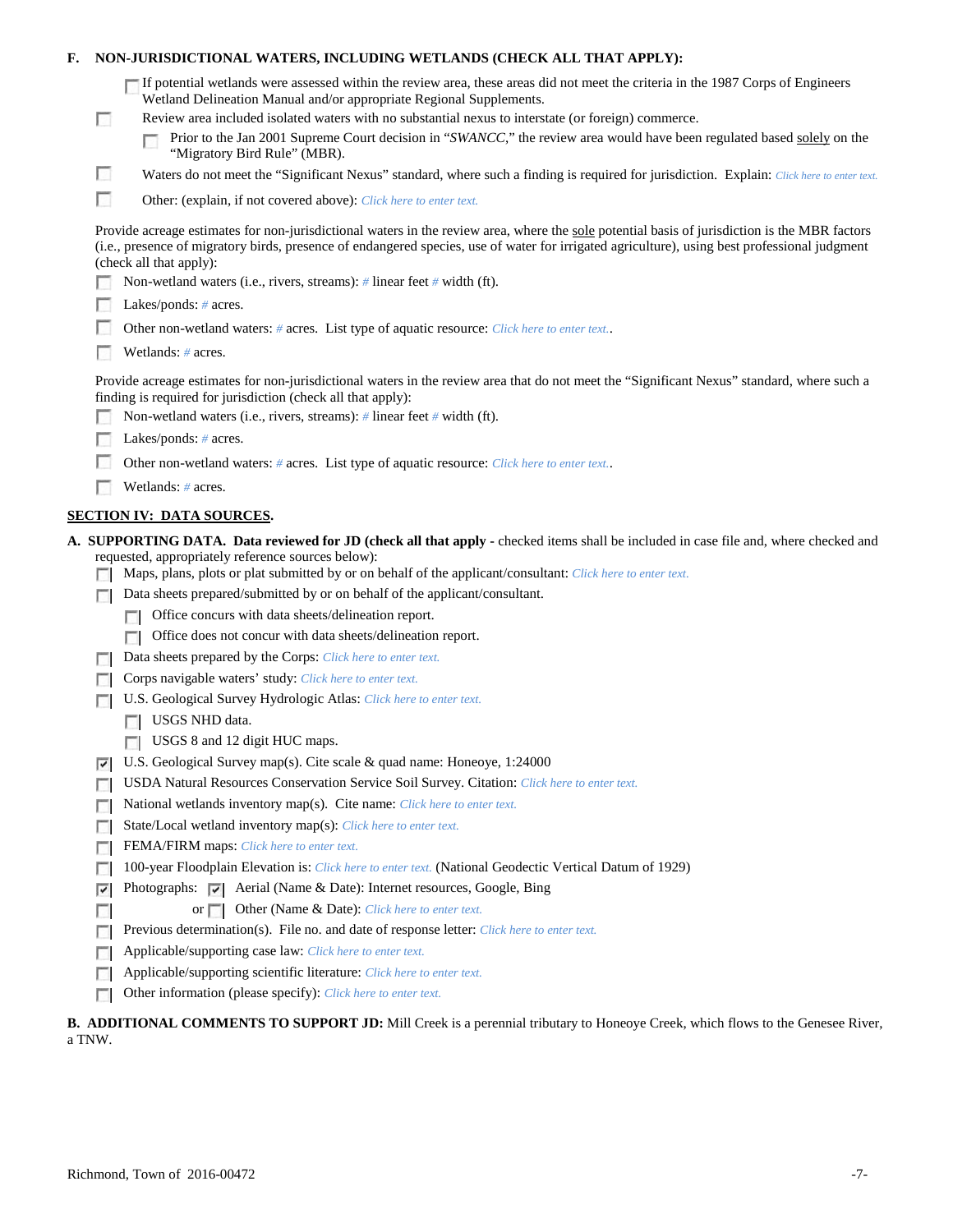| F. |                                                                                                                                                                                                    | NON-JURISDICTIONAL WATERS, INCLUDING WETLANDS (CHECK ALL THAT APPLY):                                                                                                                                                                                                                                                     |  |  |  |
|----|----------------------------------------------------------------------------------------------------------------------------------------------------------------------------------------------------|---------------------------------------------------------------------------------------------------------------------------------------------------------------------------------------------------------------------------------------------------------------------------------------------------------------------------|--|--|--|
|    |                                                                                                                                                                                                    | If potential wetlands were assessed within the review area, these areas did not meet the criteria in the 1987 Corps of Engineers<br>Wetland Delineation Manual and/or appropriate Regional Supplements.                                                                                                                   |  |  |  |
|    | <b>COL</b>                                                                                                                                                                                         | Review area included isolated waters with no substantial nexus to interstate (or foreign) commerce.<br>Prior to the Jan 2001 Supreme Court decision in "SWANCC," the review area would have been regulated based solely on the<br>"Migratory Bird Rule" (MBR).                                                            |  |  |  |
|    | L.                                                                                                                                                                                                 | Waters do not meet the "Significant Nexus" standard, where such a finding is required for jurisdiction. Explain: Click here to enter text.                                                                                                                                                                                |  |  |  |
|    | П                                                                                                                                                                                                  | Other: (explain, if not covered above): Click here to enter text.                                                                                                                                                                                                                                                         |  |  |  |
|    |                                                                                                                                                                                                    | Provide acreage estimates for non-jurisdictional waters in the review area, where the sole potential basis of jurisdiction is the MBR factors<br>(i.e., presence of migratory birds, presence of endangered species, use of water for irrigated agriculture), using best professional judgment<br>(check all that apply): |  |  |  |
|    |                                                                                                                                                                                                    | Non-wetland waters (i.e., rivers, streams): # linear feet # width (ft).                                                                                                                                                                                                                                                   |  |  |  |
|    |                                                                                                                                                                                                    | Lakes/ponds: $# \, \text{acres.}$                                                                                                                                                                                                                                                                                         |  |  |  |
|    |                                                                                                                                                                                                    | Other non-wetland waters: # acres. List type of aquatic resource: Click here to enter text                                                                                                                                                                                                                                |  |  |  |
|    |                                                                                                                                                                                                    | Wetlands: # acres.                                                                                                                                                                                                                                                                                                        |  |  |  |
|    |                                                                                                                                                                                                    | Provide acreage estimates for non-jurisdictional waters in the review area that do not meet the "Significant Nexus" standard, where such a<br>finding is required for jurisdiction (check all that apply):                                                                                                                |  |  |  |
|    |                                                                                                                                                                                                    | Non-wetland waters (i.e., rivers, streams): $\#$ linear feet $\#$ width (ft).                                                                                                                                                                                                                                             |  |  |  |
|    |                                                                                                                                                                                                    | Lakes/ponds: $# \, \text{acres.}$                                                                                                                                                                                                                                                                                         |  |  |  |
|    |                                                                                                                                                                                                    | Other non-wetland waters: # acres. List type of aquatic resource: Click here to enter text                                                                                                                                                                                                                                |  |  |  |
|    |                                                                                                                                                                                                    | Wetlands: # acres.                                                                                                                                                                                                                                                                                                        |  |  |  |
|    |                                                                                                                                                                                                    | <b>SECTION IV: DATA SOURCES.</b>                                                                                                                                                                                                                                                                                          |  |  |  |
|    |                                                                                                                                                                                                    | A. SUPPORTING DATA. Data reviewed for JD (check all that apply - checked items shall be included in case file and, where checked and                                                                                                                                                                                      |  |  |  |
|    |                                                                                                                                                                                                    | requested, appropriately reference sources below):<br>Maps, plans, plots or plat submitted by or on behalf of the applicant/consultant: Click here to enter text.                                                                                                                                                         |  |  |  |
|    |                                                                                                                                                                                                    | Data sheets prepared/submitted by or on behalf of the applicant/consultant.                                                                                                                                                                                                                                               |  |  |  |
|    |                                                                                                                                                                                                    | Office concurs with data sheets/delineation report.                                                                                                                                                                                                                                                                       |  |  |  |
|    |                                                                                                                                                                                                    | Office does not concur with data sheets/delineation report.<br>n                                                                                                                                                                                                                                                          |  |  |  |
|    |                                                                                                                                                                                                    | Data sheets prepared by the Corps: Click here to enter text.                                                                                                                                                                                                                                                              |  |  |  |
|    |                                                                                                                                                                                                    | Corps navigable waters' study: Click here to enter text.                                                                                                                                                                                                                                                                  |  |  |  |
|    |                                                                                                                                                                                                    | U.S. Geological Survey Hydrologic Atlas: Click here to enter text.                                                                                                                                                                                                                                                        |  |  |  |
|    |                                                                                                                                                                                                    | USGS NHD data.                                                                                                                                                                                                                                                                                                            |  |  |  |
|    |                                                                                                                                                                                                    | <b>USGS 8</b> and 12 digit HUC maps.                                                                                                                                                                                                                                                                                      |  |  |  |
|    | ⊽                                                                                                                                                                                                  | U.S. Geological Survey map(s). Cite scale & quad name: Honeoye, 1:24000                                                                                                                                                                                                                                                   |  |  |  |
|    |                                                                                                                                                                                                    | USDA Natural Resources Conservation Service Soil Survey. Citation: Click here to enter text.                                                                                                                                                                                                                              |  |  |  |
|    |                                                                                                                                                                                                    | National wetlands inventory map(s). Cite name: Click here to enter text.<br>г                                                                                                                                                                                                                                             |  |  |  |
|    | State/Local wetland inventory map(s): Click here to enter text.<br>п                                                                                                                               |                                                                                                                                                                                                                                                                                                                           |  |  |  |
|    | FEMA/FIRM maps: Click here to enter text.<br>п                                                                                                                                                     |                                                                                                                                                                                                                                                                                                                           |  |  |  |
|    | 100-year Floodplain Elevation is: Click here to enter text. (National Geodectic Vertical Datum of 1929)<br>Photographs: $\overline{\smile}$ Aerial (Name & Date): Internet resources, Google, Bing |                                                                                                                                                                                                                                                                                                                           |  |  |  |
|    | ⊽<br>or <b>Other (Name &amp; Date):</b> Click here to enter text.                                                                                                                                  |                                                                                                                                                                                                                                                                                                                           |  |  |  |
|    |                                                                                                                                                                                                    | Previous determination(s). File no. and date of response letter: Click here to enter text.                                                                                                                                                                                                                                |  |  |  |
|    | г                                                                                                                                                                                                  | Applicable/supporting case law: Click here to enter text.                                                                                                                                                                                                                                                                 |  |  |  |
|    | г                                                                                                                                                                                                  | Applicable/supporting scientific literature: Click here to enter text.                                                                                                                                                                                                                                                    |  |  |  |
|    |                                                                                                                                                                                                    | Other information (please specify): Click here to enter text.                                                                                                                                                                                                                                                             |  |  |  |
|    |                                                                                                                                                                                                    |                                                                                                                                                                                                                                                                                                                           |  |  |  |

# **B. ADDITIONAL COMMENTS TO SUPPORT JD:** Mill Creek is a perennial tributary to Honeoye Creek, which flows to the Genesee River, a TNW.